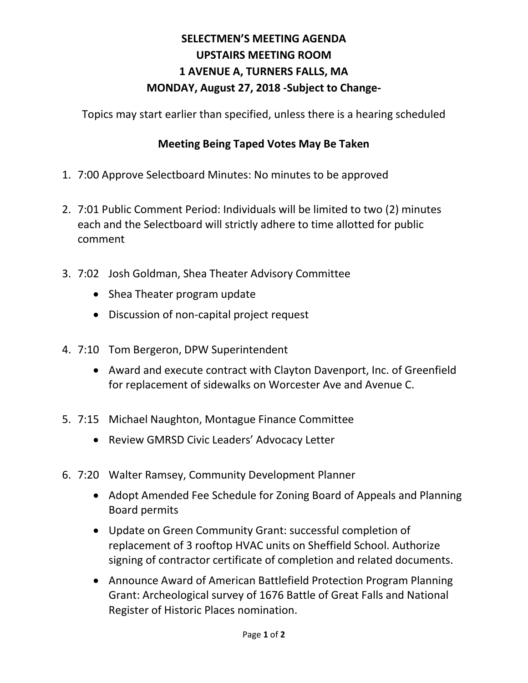## **SELECTMEN'S MEETING AGENDA UPSTAIRS MEETING ROOM 1 AVENUE A, TURNERS FALLS, MA MONDAY, August 27, 2018 -Subject to Change-**

Topics may start earlier than specified, unless there is a hearing scheduled

## **Meeting Being Taped Votes May Be Taken**

- 1. 7:00 Approve Selectboard Minutes: No minutes to be approved
- 2. 7:01 Public Comment Period: Individuals will be limited to two (2) minutes each and the Selectboard will strictly adhere to time allotted for public comment
- 3. 7:02 Josh Goldman, Shea Theater Advisory Committee
	- Shea Theater program update
	- Discussion of non-capital project request
- 4. 7:10 Tom Bergeron, DPW Superintendent
	- Award and execute contract with Clayton Davenport, Inc. of Greenfield for replacement of sidewalks on Worcester Ave and Avenue C.
- 5. 7:15 Michael Naughton, Montague Finance Committee
	- Review GMRSD Civic Leaders' Advocacy Letter
- 6. 7:20 Walter Ramsey, Community Development Planner
	- Adopt Amended Fee Schedule for Zoning Board of Appeals and Planning Board permits
	- Update on Green Community Grant: successful completion of replacement of 3 rooftop HVAC units on Sheffield School. Authorize signing of contractor certificate of completion and related documents.
	- Announce Award of American Battlefield Protection Program Planning Grant: Archeological survey of 1676 Battle of Great Falls and National Register of Historic Places nomination.